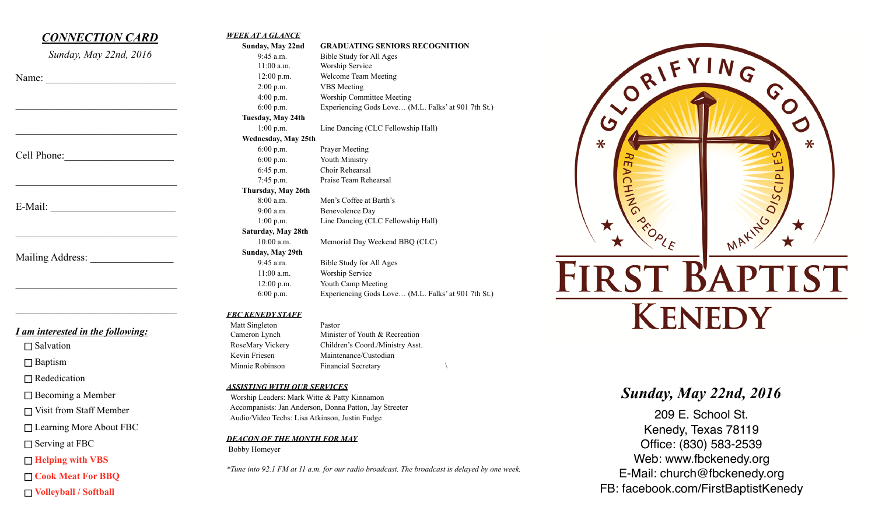## *CONNECTION CARD Sunday, May 22nd, 2016*  Name:  $\mathcal{L}_\text{max}$  $\mathcal{L}_\text{max}$  , where  $\mathcal{L}_\text{max}$  and  $\mathcal{L}_\text{max}$  and  $\mathcal{L}_\text{max}$ Cell Phone:  $\mathcal{L}_\text{max}$  , where  $\mathcal{L}_\text{max}$  and  $\mathcal{L}_\text{max}$ E-Mail:  $\mathcal{L}_\text{max}$ Mailing Address:  $\mathcal{L}_\text{max}$  , where  $\mathcal{L}_\text{max}$  and  $\mathcal{L}_\text{max}$  and  $\mathcal{L}_\text{max}$

#### *I am interested in the following:*

 $\mathcal{L}_\text{max}$  , where  $\mathcal{L}_\text{max}$  and  $\mathcal{L}_\text{max}$  and  $\mathcal{L}_\text{max}$ 

 $\Box$  Salvation

□ Baptism

□ Rededication

□ Becoming a Member

Visit from Staff Member

□ Learning More About FBC

□ Serving at FBC

**Helping with VBS** 

**Cook Meat For BBQ** 

**Volleyball / Softball**

| Sunday, May 22nd    | <b>GRADUATING SENIORS RECOGNITION</b>               |
|---------------------|-----------------------------------------------------|
| $9:45$ a.m.         | Bible Study for All Ages                            |
| $11:00$ a.m.        | Worship Service                                     |
| 12:00 p.m.          | Welcome Team Meeting                                |
| $2:00$ p.m.         | <b>VBS</b> Meeting                                  |
| $4:00$ p.m.         | Worship Committee Meeting                           |
| 6:00 p.m.           | Experiencing Gods Love (M.L. Falks' at 901 7th St.) |
| Tuesday, May 24th   |                                                     |
| $1:00$ p.m.         | Line Dancing (CLC Fellowship Hall)                  |
| Wednesday, May 25th |                                                     |
| $6:00$ p.m.         | <b>Prayer Meeting</b>                               |
| 6:00 p.m.           | Youth Ministry                                      |
| 6:45 p.m.           | Choir Rehearsal                                     |
| 7:45 p.m.           | Praise Team Rehearsal                               |
| Thursday, May 26th  |                                                     |
| 8:00 a.m.           | Men's Coffee at Barth's                             |
| 9:00 a.m.           | Benevolence Day                                     |
| 1:00 p.m.           | Line Dancing (CLC Fellowship Hall)                  |
| Saturday, May 28th  |                                                     |
| $10:00$ a.m.        | Memorial Day Weekend BBQ (CLC)                      |
| Sunday, May 29th    |                                                     |
| $9:45$ a.m.         | Bible Study for All Ages                            |
| $11:00$ a.m.        | Worship Service                                     |
| 12:00 p.m.          | Youth Camp Meeting                                  |
| $6:00$ p.m.         | Experiencing Gods Love (M.L. Falks' at 901 7th St.) |

#### *FBC KENEDY STAFF*

*WEEK AT A GLANCE*

 Matt Singleton Pastor Cameron Lynch Minister of Youth & Recreation RoseMary Vickery Children's Coord./Ministry Asst. Kevin Friesen Maintenance/Custodian Minnie Robinson Financial Secretary

#### *ASSISTING WITH OUR SERVICES*

 Worship Leaders: Mark Witte & Patty Kinnamon Accompanists: Jan Anderson, Donna Patton, Jay Streeter Audio/Video Techs: Lisa Atkinson, Justin Fudge

*DEACON OF THE MONTH FOR MAY* Bobby Homeyer

*\*Tune into 92.1 FM at 11 a.m. for our radio broadcast. The broadcast is delayed by one week.*



# **FIRST BAPTIST KENEDY**

## *Sunday, May 22nd, 2016*

209 E. School St. Kenedy, Texas 78119 Office: (830) 583-2539 Web: www.fbckenedy.org E-Mail: church@fbckenedy.org FB: facebook.com/FirstBaptistKenedy